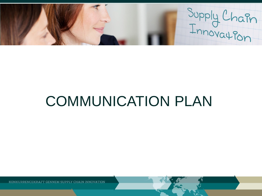Supply Chain

# COMMUNICATION PLAN

KONKURRENCEKRAFT GENNEM SUPPLY CHAIN INNOVATION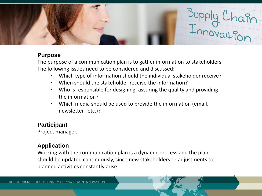

## **Purpose**

The purpose of a communication plan is to gather information to stakeholders. The following issues need to be considered and discussed:

- Which type of information should the individual stakeholder receive?
- When should the stakeholder receive the information?
- Who is responsible for designing, assuring the quality and providing the information?
- Which media should be used to provide the information (email, newsletter, etc.)?

# **Participant**

Project manager.

# **Application**

Working with the communication plan is a dynamic process and the plan should be updated continuously, since new stakeholders or adjustments to planned activities constantly arise.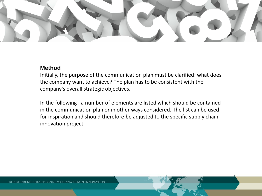

#### **Method**

Initially, the purpose of the communication plan must be clarified: what does the company want to achieve? The plan has to be consistent with the company's overall strategic objectives.

In the following , a number of elements are listed which should be contained in the communication plan or in other ways considered. The list can be used for inspiration and should therefore be adjusted to the specific supply chain innovation project.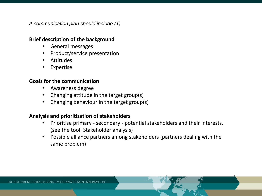*A communication plan should include (1)*

#### **Brief description of the background**

- General messages
- Product/service presentation
- Attitudes
- **Expertise**

#### **Goals for the communication**

- Awareness degree
- Changing attitude in the target group(s)
- Changing behaviour in the target group(s)

#### **Analysis and prioritization of stakeholders**

- Prioritise primary secondary potential stakeholders and their interests. (see the tool: Stakeholder analysis)
- Possible alliance partners among stakeholders (partners dealing with the same problem)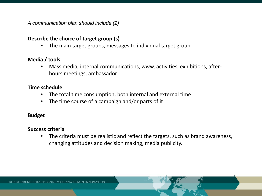*A communication plan should include (2)*

#### **Describe the choice of target group (s)**

The main target groups, messages to individual target group

#### **Media / tools**

• Mass media, internal communications, www, activities, exhibitions, afterhours meetings, ambassador

#### **Time schedule**

- The total time consumption, both internal and external time
- The time course of a campaign and/or parts of it

# **Budget**

#### **Success criteria**

The criteria must be realistic and reflect the targets, such as brand awareness, changing attitudes and decision making, media publicity.